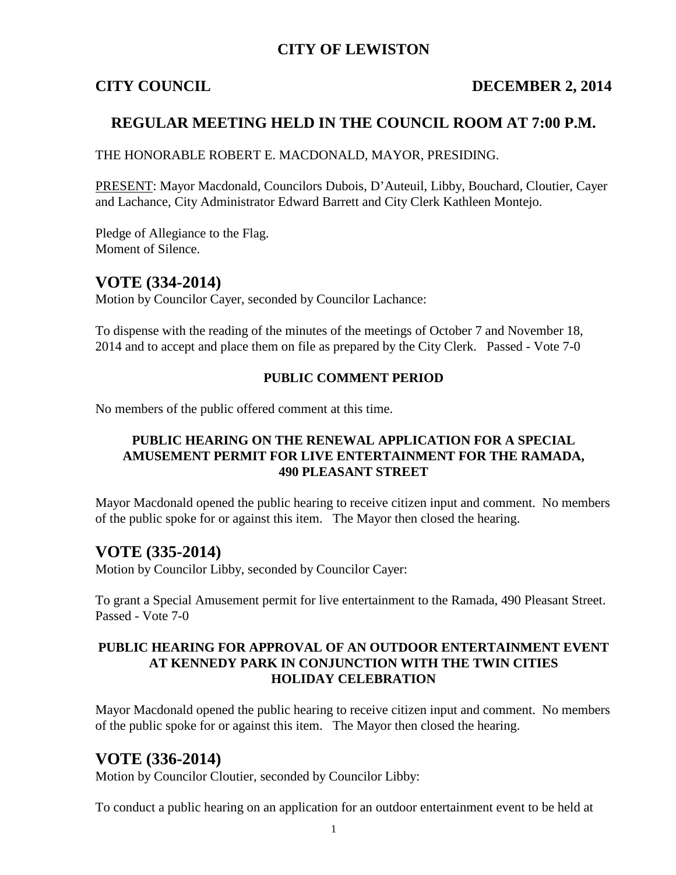# **CITY OF LEWISTON**

## **CITY COUNCIL DECEMBER 2, 2014**

# **REGULAR MEETING HELD IN THE COUNCIL ROOM AT 7:00 P.M.**

THE HONORABLE ROBERT E. MACDONALD, MAYOR, PRESIDING.

PRESENT: Mayor Macdonald, Councilors Dubois, D'Auteuil, Libby, Bouchard, Cloutier, Cayer and Lachance, City Administrator Edward Barrett and City Clerk Kathleen Montejo.

Pledge of Allegiance to the Flag. Moment of Silence.

# **VOTE (334-2014)**

Motion by Councilor Cayer, seconded by Councilor Lachance:

To dispense with the reading of the minutes of the meetings of October 7 and November 18, 2014 and to accept and place them on file as prepared by the City Clerk. Passed - Vote 7-0

### **PUBLIC COMMENT PERIOD**

No members of the public offered comment at this time.

### **PUBLIC HEARING ON THE RENEWAL APPLICATION FOR A SPECIAL AMUSEMENT PERMIT FOR LIVE ENTERTAINMENT FOR THE RAMADA, 490 PLEASANT STREET**

Mayor Macdonald opened the public hearing to receive citizen input and comment. No members of the public spoke for or against this item. The Mayor then closed the hearing.

# **VOTE (335-2014)**

Motion by Councilor Libby, seconded by Councilor Cayer:

To grant a Special Amusement permit for live entertainment to the Ramada, 490 Pleasant Street. Passed - Vote 7-0

### **PUBLIC HEARING FOR APPROVAL OF AN OUTDOOR ENTERTAINMENT EVENT AT KENNEDY PARK IN CONJUNCTION WITH THE TWIN CITIES HOLIDAY CELEBRATION**

Mayor Macdonald opened the public hearing to receive citizen input and comment. No members of the public spoke for or against this item. The Mayor then closed the hearing.

# **VOTE (336-2014)**

Motion by Councilor Cloutier, seconded by Councilor Libby:

To conduct a public hearing on an application for an outdoor entertainment event to be held at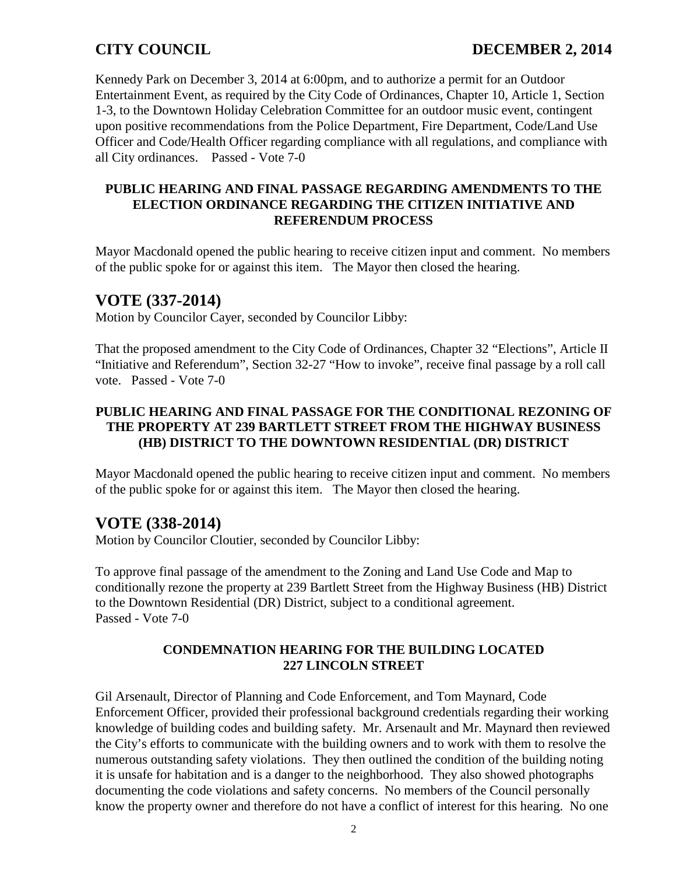Kennedy Park on December 3, 2014 at 6:00pm, and to authorize a permit for an Outdoor Entertainment Event, as required by the City Code of Ordinances, Chapter 10, Article 1, Section 1-3, to the Downtown Holiday Celebration Committee for an outdoor music event, contingent upon positive recommendations from the Police Department, Fire Department, Code/Land Use Officer and Code/Health Officer regarding compliance with all regulations, and compliance with all City ordinances. Passed - Vote 7-0

### **PUBLIC HEARING AND FINAL PASSAGE REGARDING AMENDMENTS TO THE ELECTION ORDINANCE REGARDING THE CITIZEN INITIATIVE AND REFERENDUM PROCESS**

Mayor Macdonald opened the public hearing to receive citizen input and comment. No members of the public spoke for or against this item. The Mayor then closed the hearing.

# **VOTE (337-2014)**

Motion by Councilor Cayer, seconded by Councilor Libby:

That the proposed amendment to the City Code of Ordinances, Chapter 32 "Elections", Article II "Initiative and Referendum", Section 32-27 "How to invoke", receive final passage by a roll call vote. Passed - Vote 7-0

## **PUBLIC HEARING AND FINAL PASSAGE FOR THE CONDITIONAL REZONING OF THE PROPERTY AT 239 BARTLETT STREET FROM THE HIGHWAY BUSINESS (HB) DISTRICT TO THE DOWNTOWN RESIDENTIAL (DR) DISTRICT**

Mayor Macdonald opened the public hearing to receive citizen input and comment. No members of the public spoke for or against this item. The Mayor then closed the hearing.

# **VOTE (338-2014)**

Motion by Councilor Cloutier, seconded by Councilor Libby:

To approve final passage of the amendment to the Zoning and Land Use Code and Map to conditionally rezone the property at 239 Bartlett Street from the Highway Business (HB) District to the Downtown Residential (DR) District, subject to a conditional agreement. Passed - Vote 7-0

## **CONDEMNATION HEARING FOR THE BUILDING LOCATED 227 LINCOLN STREET**

Gil Arsenault, Director of Planning and Code Enforcement, and Tom Maynard, Code Enforcement Officer, provided their professional background credentials regarding their working knowledge of building codes and building safety. Mr. Arsenault and Mr. Maynard then reviewed the City's efforts to communicate with the building owners and to work with them to resolve the numerous outstanding safety violations. They then outlined the condition of the building noting it is unsafe for habitation and is a danger to the neighborhood. They also showed photographs documenting the code violations and safety concerns. No members of the Council personally know the property owner and therefore do not have a conflict of interest for this hearing. No one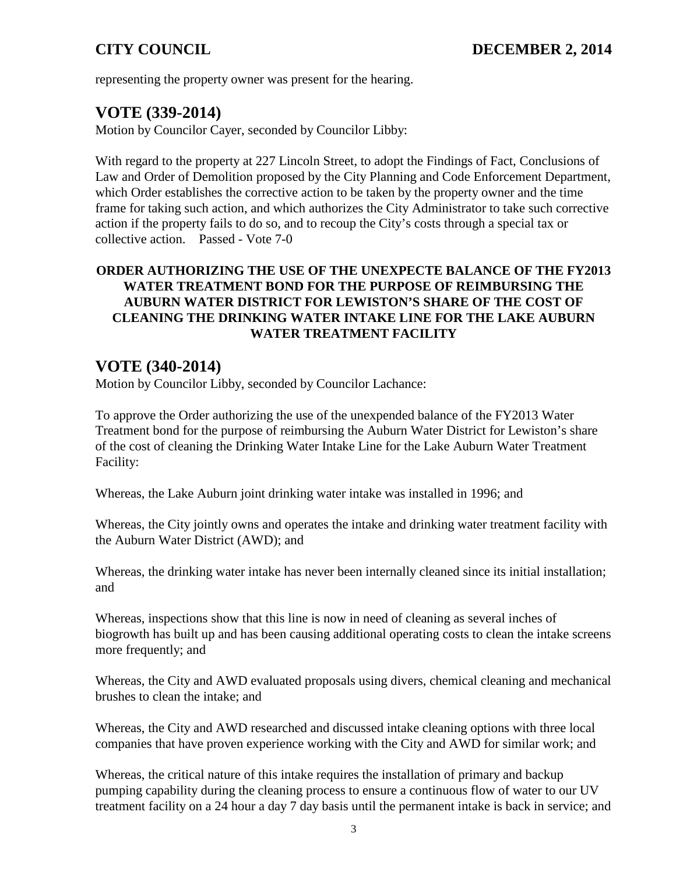representing the property owner was present for the hearing.

# **VOTE (339-2014)**

Motion by Councilor Cayer, seconded by Councilor Libby:

With regard to the property at 227 Lincoln Street, to adopt the Findings of Fact, Conclusions of Law and Order of Demolition proposed by the City Planning and Code Enforcement Department, which Order establishes the corrective action to be taken by the property owner and the time frame for taking such action, and which authorizes the City Administrator to take such corrective action if the property fails to do so, and to recoup the City's costs through a special tax or collective action. Passed - Vote 7-0

## **ORDER AUTHORIZING THE USE OF THE UNEXPECTE BALANCE OF THE FY2013 WATER TREATMENT BOND FOR THE PURPOSE OF REIMBURSING THE AUBURN WATER DISTRICT FOR LEWISTON'S SHARE OF THE COST OF CLEANING THE DRINKING WATER INTAKE LINE FOR THE LAKE AUBURN WATER TREATMENT FACILITY**

# **VOTE (340-2014)**

Motion by Councilor Libby, seconded by Councilor Lachance:

To approve the Order authorizing the use of the unexpended balance of the FY2013 Water Treatment bond for the purpose of reimbursing the Auburn Water District for Lewiston's share of the cost of cleaning the Drinking Water Intake Line for the Lake Auburn Water Treatment Facility:

Whereas, the Lake Auburn joint drinking water intake was installed in 1996; and

Whereas, the City jointly owns and operates the intake and drinking water treatment facility with the Auburn Water District (AWD); and

Whereas, the drinking water intake has never been internally cleaned since its initial installation; and

Whereas, inspections show that this line is now in need of cleaning as several inches of biogrowth has built up and has been causing additional operating costs to clean the intake screens more frequently; and

Whereas, the City and AWD evaluated proposals using divers, chemical cleaning and mechanical brushes to clean the intake; and

Whereas, the City and AWD researched and discussed intake cleaning options with three local companies that have proven experience working with the City and AWD for similar work; and

Whereas, the critical nature of this intake requires the installation of primary and backup pumping capability during the cleaning process to ensure a continuous flow of water to our UV treatment facility on a 24 hour a day 7 day basis until the permanent intake is back in service; and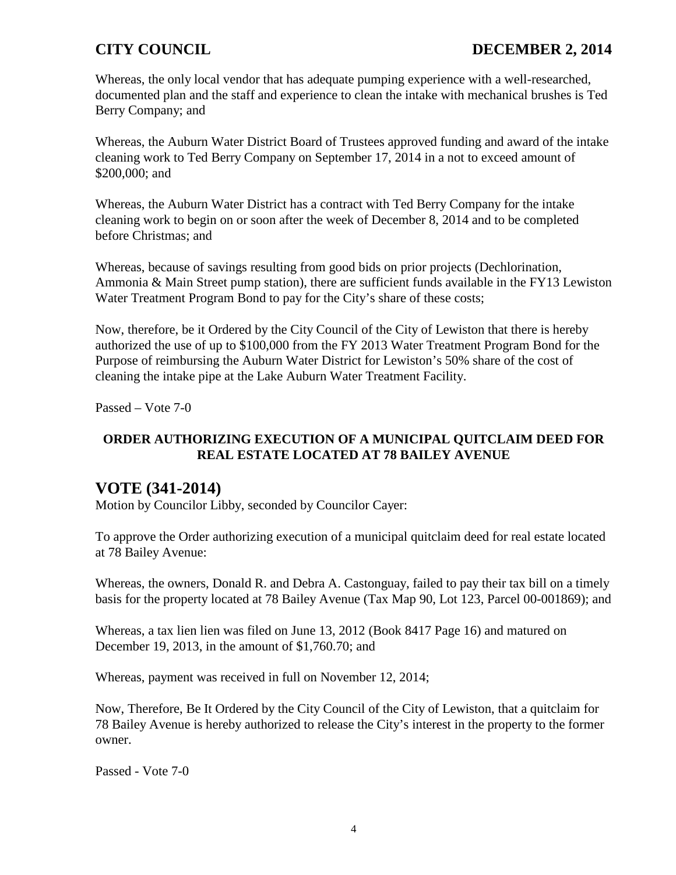Whereas, the only local vendor that has adequate pumping experience with a well-researched, documented plan and the staff and experience to clean the intake with mechanical brushes is Ted Berry Company; and

Whereas, the Auburn Water District Board of Trustees approved funding and award of the intake cleaning work to Ted Berry Company on September 17, 2014 in a not to exceed amount of \$200,000; and

Whereas, the Auburn Water District has a contract with Ted Berry Company for the intake cleaning work to begin on or soon after the week of December 8, 2014 and to be completed before Christmas; and

Whereas, because of savings resulting from good bids on prior projects (Dechlorination, Ammonia & Main Street pump station), there are sufficient funds available in the FY13 Lewiston Water Treatment Program Bond to pay for the City's share of these costs;

Now, therefore, be it Ordered by the City Council of the City of Lewiston that there is hereby authorized the use of up to \$100,000 from the FY 2013 Water Treatment Program Bond for the Purpose of reimbursing the Auburn Water District for Lewiston's 50% share of the cost of cleaning the intake pipe at the Lake Auburn Water Treatment Facility.

Passed – Vote 7-0

## **ORDER AUTHORIZING EXECUTION OF A MUNICIPAL QUITCLAIM DEED FOR REAL ESTATE LOCATED AT 78 BAILEY AVENUE**

# **VOTE (341-2014)**

Motion by Councilor Libby, seconded by Councilor Cayer:

To approve the Order authorizing execution of a municipal quitclaim deed for real estate located at 78 Bailey Avenue:

Whereas, the owners, Donald R. and Debra A. Castonguay, failed to pay their tax bill on a timely basis for the property located at 78 Bailey Avenue (Tax Map 90, Lot 123, Parcel 00-001869); and

Whereas, a tax lien lien was filed on June 13, 2012 (Book 8417 Page 16) and matured on December 19, 2013, in the amount of \$1,760.70; and

Whereas, payment was received in full on November 12, 2014;

Now, Therefore, Be It Ordered by the City Council of the City of Lewiston, that a quitclaim for 78 Bailey Avenue is hereby authorized to release the City's interest in the property to the former owner.

Passed - Vote 7-0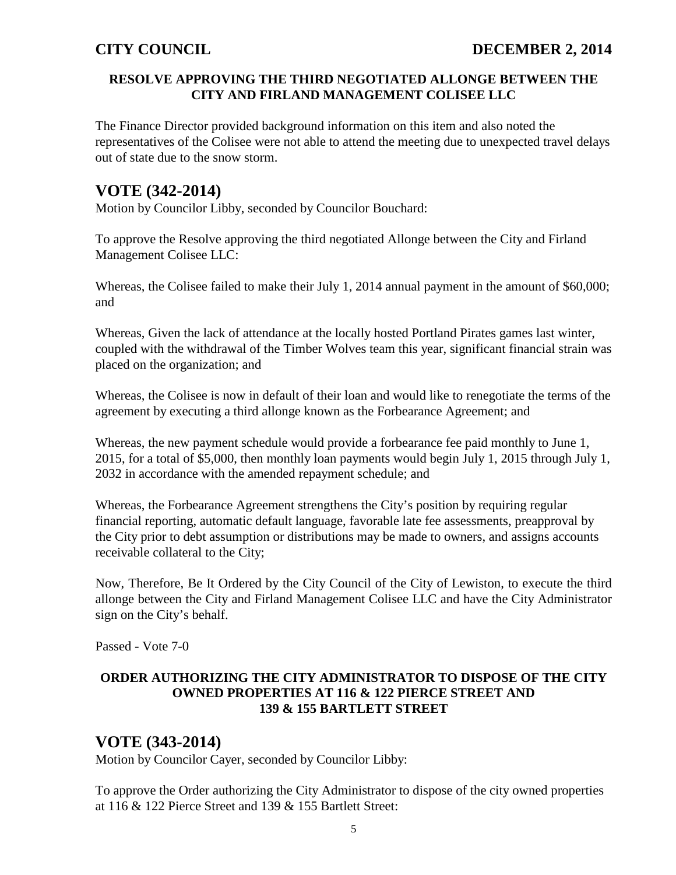## **RESOLVE APPROVING THE THIRD NEGOTIATED ALLONGE BETWEEN THE CITY AND FIRLAND MANAGEMENT COLISEE LLC**

The Finance Director provided background information on this item and also noted the representatives of the Colisee were not able to attend the meeting due to unexpected travel delays out of state due to the snow storm.

# **VOTE (342-2014)**

Motion by Councilor Libby, seconded by Councilor Bouchard:

To approve the Resolve approving the third negotiated Allonge between the City and Firland Management Colisee LLC:

Whereas, the Colisee failed to make their July 1, 2014 annual payment in the amount of \$60,000; and

Whereas, Given the lack of attendance at the locally hosted Portland Pirates games last winter, coupled with the withdrawal of the Timber Wolves team this year, significant financial strain was placed on the organization; and

Whereas, the Colisee is now in default of their loan and would like to renegotiate the terms of the agreement by executing a third allonge known as the Forbearance Agreement; and

Whereas, the new payment schedule would provide a forbearance fee paid monthly to June 1, 2015, for a total of \$5,000, then monthly loan payments would begin July 1, 2015 through July 1, 2032 in accordance with the amended repayment schedule; and

Whereas, the Forbearance Agreement strengthens the City's position by requiring regular financial reporting, automatic default language, favorable late fee assessments, preapproval by the City prior to debt assumption or distributions may be made to owners, and assigns accounts receivable collateral to the City;

Now, Therefore, Be It Ordered by the City Council of the City of Lewiston, to execute the third allonge between the City and Firland Management Colisee LLC and have the City Administrator sign on the City's behalf.

Passed - Vote 7-0

## **ORDER AUTHORIZING THE CITY ADMINISTRATOR TO DISPOSE OF THE CITY OWNED PROPERTIES AT 116 & 122 PIERCE STREET AND 139 & 155 BARTLETT STREET**

# **VOTE (343-2014)**

Motion by Councilor Cayer, seconded by Councilor Libby:

To approve the Order authorizing the City Administrator to dispose of the city owned properties at 116 & 122 Pierce Street and 139 & 155 Bartlett Street: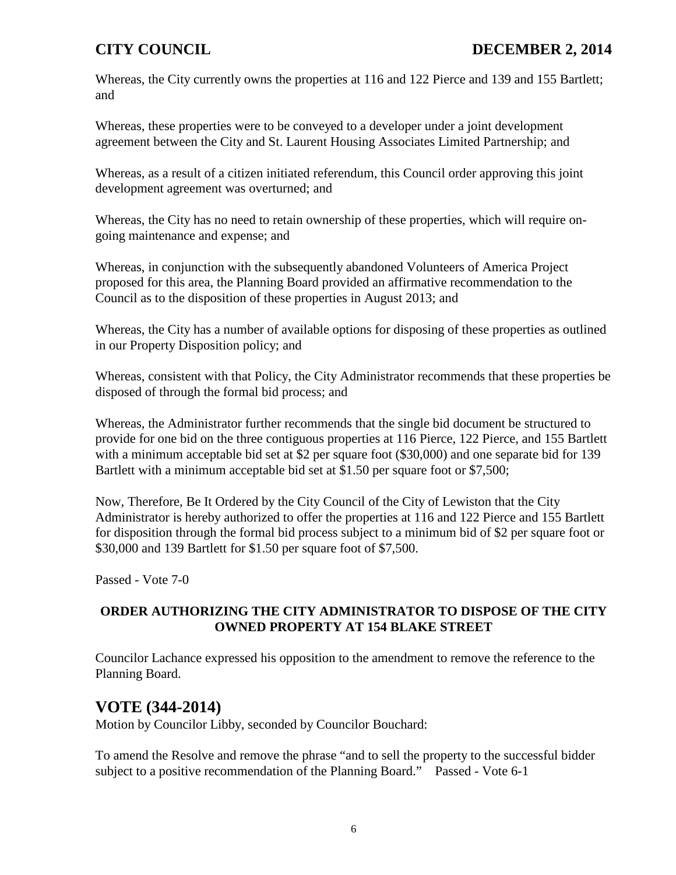Whereas, the City currently owns the properties at 116 and 122 Pierce and 139 and 155 Bartlett; and

Whereas, these properties were to be conveyed to a developer under a joint development agreement between the City and St. Laurent Housing Associates Limited Partnership; and

Whereas, as a result of a citizen initiated referendum, this Council order approving this joint development agreement was overturned; and

Whereas, the City has no need to retain ownership of these properties, which will require ongoing maintenance and expense; and

Whereas, in conjunction with the subsequently abandoned Volunteers of America Project proposed for this area, the Planning Board provided an affirmative recommendation to the Council as to the disposition of these properties in August 2013; and

Whereas, the City has a number of available options for disposing of these properties as outlined in our Property Disposition policy; and

Whereas, consistent with that Policy, the City Administrator recommends that these properties be disposed of through the formal bid process; and

Whereas, the Administrator further recommends that the single bid document be structured to provide for one bid on the three contiguous properties at 116 Pierce, 122 Pierce, and 155 Bartlett with a minimum acceptable bid set at \$2 per square foot (\$30,000) and one separate bid for 139 Bartlett with a minimum acceptable bid set at \$1.50 per square foot or \$7,500;

Now, Therefore, Be It Ordered by the City Council of the City of Lewiston that the City Administrator is hereby authorized to offer the properties at 116 and 122 Pierce and 155 Bartlett for disposition through the formal bid process subject to a minimum bid of \$2 per square foot or \$30,000 and 139 Bartlett for \$1.50 per square foot of \$7,500.

Passed - Vote 7-0

## **ORDER AUTHORIZING THE CITY ADMINISTRATOR TO DISPOSE OF THE CITY OWNED PROPERTY AT 154 BLAKE STREET**

Councilor Lachance expressed his opposition to the amendment to remove the reference to the Planning Board.

# **VOTE (344-2014)**

Motion by Councilor Libby, seconded by Councilor Bouchard:

To amend the Resolve and remove the phrase "and to sell the property to the successful bidder subject to a positive recommendation of the Planning Board." Passed - Vote 6-1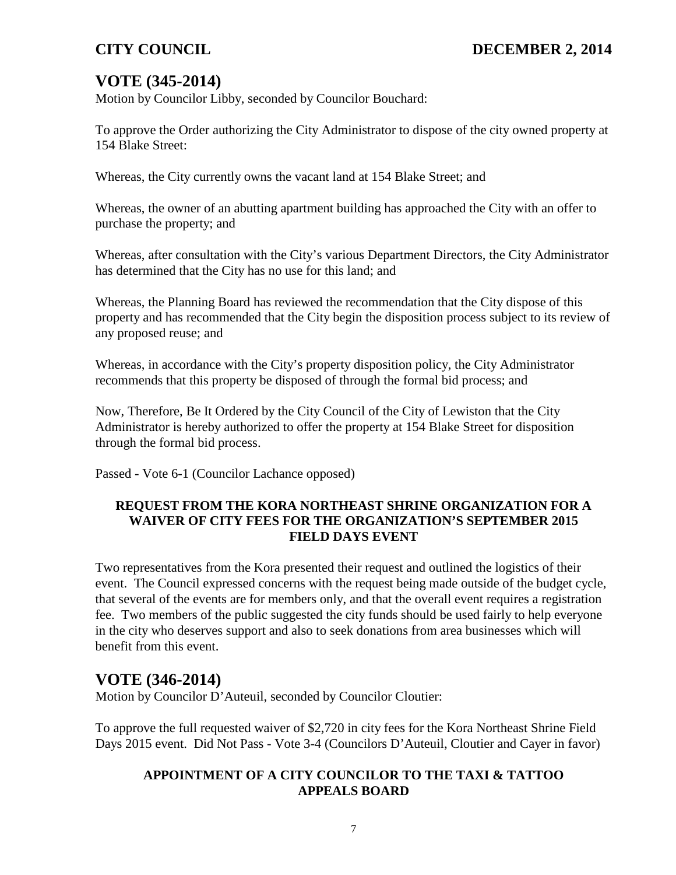# **VOTE (345-2014)**

Motion by Councilor Libby, seconded by Councilor Bouchard:

To approve the Order authorizing the City Administrator to dispose of the city owned property at 154 Blake Street:

Whereas, the City currently owns the vacant land at 154 Blake Street; and

Whereas, the owner of an abutting apartment building has approached the City with an offer to purchase the property; and

Whereas, after consultation with the City's various Department Directors, the City Administrator has determined that the City has no use for this land; and

Whereas, the Planning Board has reviewed the recommendation that the City dispose of this property and has recommended that the City begin the disposition process subject to its review of any proposed reuse; and

Whereas, in accordance with the City's property disposition policy, the City Administrator recommends that this property be disposed of through the formal bid process; and

Now, Therefore, Be It Ordered by the City Council of the City of Lewiston that the City Administrator is hereby authorized to offer the property at 154 Blake Street for disposition through the formal bid process.

Passed - Vote 6-1 (Councilor Lachance opposed)

## **REQUEST FROM THE KORA NORTHEAST SHRINE ORGANIZATION FOR A WAIVER OF CITY FEES FOR THE ORGANIZATION'S SEPTEMBER 2015 FIELD DAYS EVENT**

Two representatives from the Kora presented their request and outlined the logistics of their event. The Council expressed concerns with the request being made outside of the budget cycle, that several of the events are for members only, and that the overall event requires a registration fee. Two members of the public suggested the city funds should be used fairly to help everyone in the city who deserves support and also to seek donations from area businesses which will benefit from this event.

# **VOTE (346-2014)**

Motion by Councilor D'Auteuil, seconded by Councilor Cloutier:

To approve the full requested waiver of \$2,720 in city fees for the Kora Northeast Shrine Field Days 2015 event. Did Not Pass - Vote 3-4 (Councilors D'Auteuil, Cloutier and Cayer in favor)

## **APPOINTMENT OF A CITY COUNCILOR TO THE TAXI & TATTOO APPEALS BOARD**